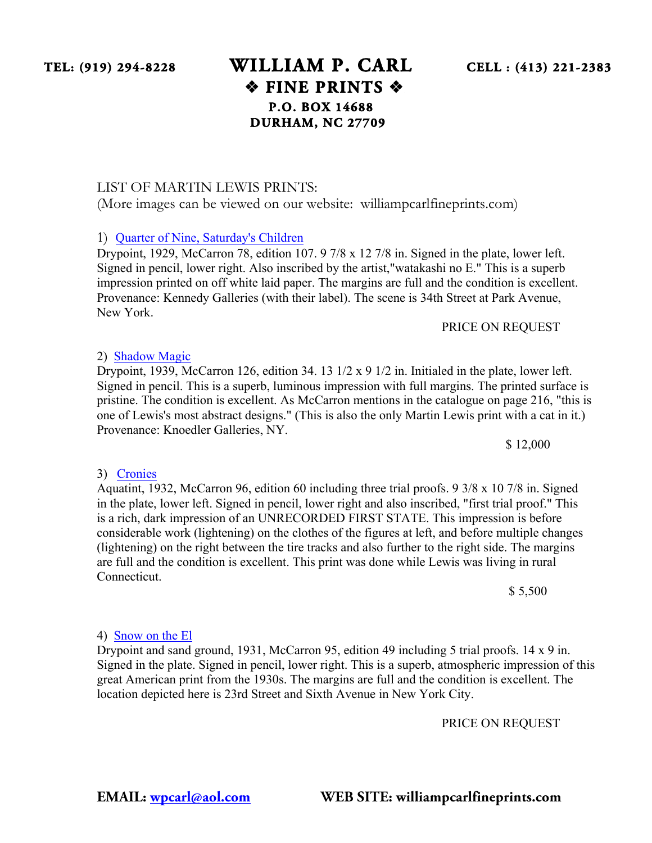## **TEL: (919) 294-8228 WILLIAM P. CARL CELL : (413) 221-2383** ❖ **FINE PRINTS** ❖ **P.O. BOX 14688 DURHAM, NC 27709**

#### LIST OF MARTIN LEWIS PRINTS:

(More images can be viewed on our website: williampcarlfineprints.com)

### 1) Quarter of Nine, Saturday's Children

Drypoint, 1929, McCarron 78, edition 107. 9 7/8 x 12 7/8 in. Signed in the plate, lower left. Signed in pencil, lower right. Also inscribed by the artist,"watakashi no E." This is a superb impression printed on off white laid paper. The margins are full and the condition is excellent. Provenance: Kennedy Galleries (with their label). The scene is 34th Street at Park Avenue, New York.

#### PRICE ON REQUEST

### 2) Shadow Magic

Drypoint, 1939, McCarron 126, edition 34. 13 1/2 x 9 1/2 in. Initialed in the plate, lower left. Signed in pencil. This is a superb, luminous impression with full margins. The printed surface is pristine. The condition is excellent. As McCarron mentions in the catalogue on page 216, "this is one of Lewis's most abstract designs." (This is also the only Martin Lewis print with a cat in it.) Provenance: Knoedler Galleries, NY.

\$ 12,000

#### 3) Cronies

Aquatint, 1932, McCarron 96, edition 60 including three trial proofs. 9 3/8 x 10 7/8 in. Signed in the plate, lower left. Signed in pencil, lower right and also inscribed, "first trial proof." This is a rich, dark impression of an UNRECORDED FIRST STATE. This impression is before considerable work (lightening) on the clothes of the figures at left, and before multiple changes (lightening) on the right between the tire tracks and also further to the right side. The margins are full and the condition is excellent. This print was done while Lewis was living in rural Connecticut.

\$ 5,500

4) Snow on the El

Drypoint and sand ground, 1931, McCarron 95, edition 49 including 5 trial proofs. 14 x 9 in. Signed in the plate. Signed in pencil, lower right. This is a superb, atmospheric impression of this great American print from the 1930s. The margins are full and the condition is excellent. The location depicted here is 23rd Street and Sixth Avenue in New York City.

PRICE ON REQUEST